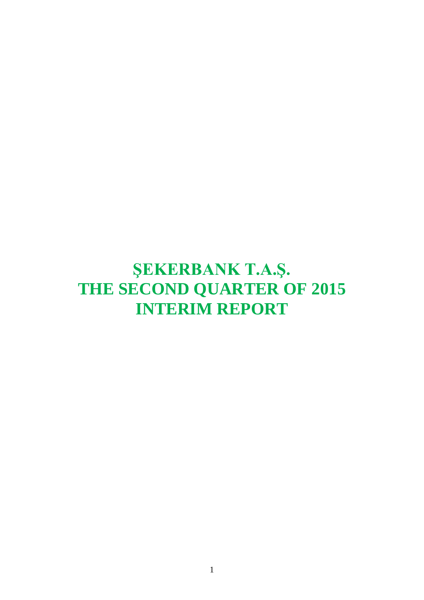# **ŞEKERBANK T.A.Ş. THE SECOND QUARTER OF 2015 INTERIM REPORT**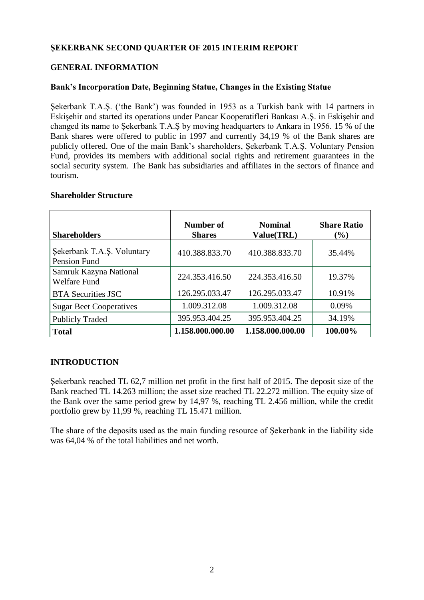# **ŞEKERBANK SECOND QUARTER OF 2015 INTERIM REPORT**

# **GENERAL INFORMATION**

## **Bank's Incorporation Date, Beginning Statue, Changes in the Existing Statue**

Sekerbank T.A.S. ('the Bank') was founded in 1953 as a Turkish bank with 14 partners in Eskişehir and started its operations under Pancar Kooperatifleri Bankası A.Ş. in Eskişehir and changed its name to Şekerbank T.A.Ş by moving headquarters to Ankara in 1956. 15 % of the Bank shares were offered to public in 1997 and currently 34,19 % of the Bank shares are publicly offered. One of the main Bank's shareholders, Şekerbank T.A.Ş. Voluntary Pension Fund, provides its members with additional social rights and retirement guarantees in the social security system. The Bank has subsidiaries and affiliates in the sectors of finance and tourism.

## **Shareholder Structure**

| <b>Shareholders</b>                           | Number of<br><b>Shares</b> | <b>Nominal</b><br>Value(TRL) | <b>Share Ratio</b><br>$(\%)$ |
|-----------------------------------------------|----------------------------|------------------------------|------------------------------|
| Şekerbank T.A.Ş. Voluntary<br>Pension Fund    | 410.388.833.70             | 410.388.833.70               | 35.44%                       |
| Samruk Kazyna National<br><b>Welfare Fund</b> | 224.353.416.50             | 224.353.416.50               | 19.37%                       |
| <b>BTA Securities JSC</b>                     | 126.295.033.47             | 126.295.033.47               | 10.91%                       |
| <b>Sugar Beet Cooperatives</b>                | 1.009.312.08               | 1.009.312.08                 | 0.09%                        |
| <b>Publicly Traded</b>                        | 395.953.404.25             | 395.953.404.25               | 34.19%                       |
| <b>Total</b>                                  | 1.158.000.000.00           | 1.158.000.000.00             | 100.00%                      |

# **INTRODUCTION**

Sekerbank reached TL 62.7 million net profit in the first half of 2015. The deposit size of the Bank reached TL 14.263 million; the asset size reached TL 22.272 million. The equity size of the Bank over the same period grew by 14,97 %, reaching TL 2.456 million, while the credit portfolio grew by 11,99 %, reaching TL 15.471 million.

The share of the deposits used as the main funding resource of Şekerbank in the liability side was 64,04 % of the total liabilities and net worth.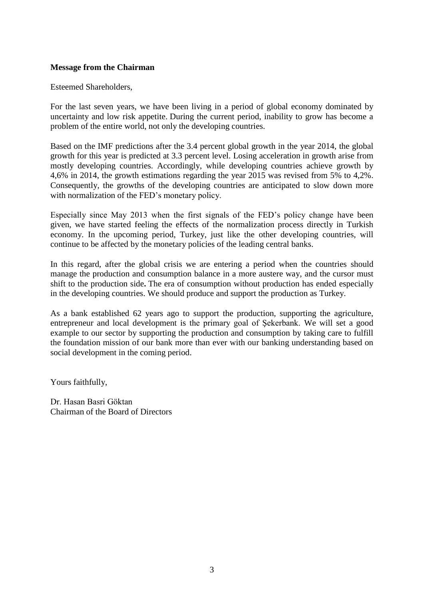## **Message from the Chairman**

#### Esteemed Shareholders,

For the last seven years, we have been living in a period of global economy dominated by uncertainty and low risk appetite. During the current period, inability to grow has become a problem of the entire world, not only the developing countries.

Based on the IMF predictions after the 3.4 percent global growth in the year 2014, the global growth for this year is predicted at 3.3 percent level. Losing acceleration in growth arise from mostly developing countries. Accordingly, while developing countries achieve growth by 4,6% in 2014, the growth estimations regarding the year 2015 was revised from 5% to 4,2%. Consequently, the growths of the developing countries are anticipated to slow down more with normalization of the FED's monetary policy.

Especially since May 2013 when the first signals of the FED's policy change have been given, we have started feeling the effects of the normalization process directly in Turkish economy. In the upcoming period, Turkey, just like the other developing countries, will continue to be affected by the monetary policies of the leading central banks.

In this regard, after the global crisis we are entering a period when the countries should manage the production and consumption balance in a more austere way, and the cursor must shift to the production side**.** The era of consumption without production has ended especially in the developing countries. We should produce and support the production as Turkey.

As a bank established 62 years ago to support the production, supporting the agriculture, entrepreneur and local development is the primary goal of Şekerbank. We will set a good example to our sector by supporting the production and consumption by taking care to fulfill the foundation mission of our bank more than ever with our banking understanding based on social development in the coming period.

Yours faithfully,

Dr. Hasan Basri Göktan Chairman of the Board of Directors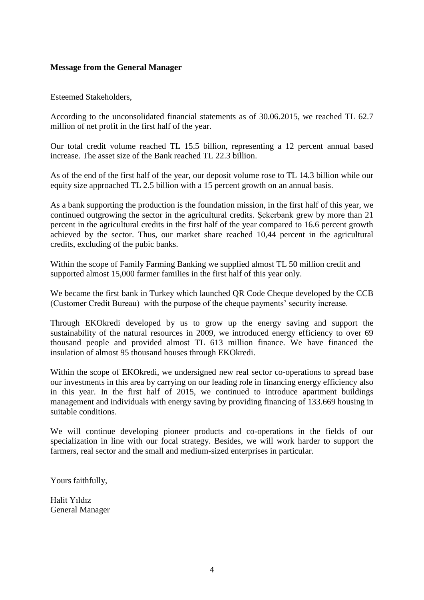## **Message from the General Manager**

Esteemed Stakeholders,

According to the unconsolidated financial statements as of 30.06.2015, we reached TL 62.7 million of net profit in the first half of the year.

Our total credit volume reached TL 15.5 billion, representing a 12 percent annual based increase. The asset size of the Bank reached TL 22.3 billion.

As of the end of the first half of the year, our deposit volume rose to TL 14.3 billion while our equity size approached TL 2.5 billion with a 15 percent growth on an annual basis.

As a bank supporting the production is the foundation mission, in the first half of this year, we continued outgrowing the sector in the agricultural credits. Şekerbank grew by more than 21 percent in the agricultural credits in the first half of the year compared to 16.6 percent growth achieved by the sector. Thus, our market share reached 10,44 percent in the agricultural credits, excluding of the pubic banks.

Within the scope of Family Farming Banking we supplied almost TL 50 million credit and supported almost 15,000 farmer families in the first half of this year only.

We became the first bank in Turkey which launched QR Code Cheque developed by the CCB (Customer Credit Bureau) with the purpose of the cheque payments' security increase.

Through EKOkredi developed by us to grow up the energy saving and support the sustainability of the natural resources in 2009, we introduced energy efficiency to over 69 thousand people and provided almost TL 613 million finance. We have financed the insulation of almost 95 thousand houses through EKOkredi.

Within the scope of EKOkredi, we undersigned new real sector co-operations to spread base our investments in this area by carrying on our leading role in financing energy efficiency also in this year. In the first half of 2015, we continued to introduce apartment buildings management and individuals with energy saving by providing financing of 133.669 housing in suitable conditions.

We will continue developing pioneer products and co-operations in the fields of our specialization in line with our focal strategy. Besides, we will work harder to support the farmers, real sector and the small and medium-sized enterprises in particular.

Yours faithfully,

Halit Yıldız General Manager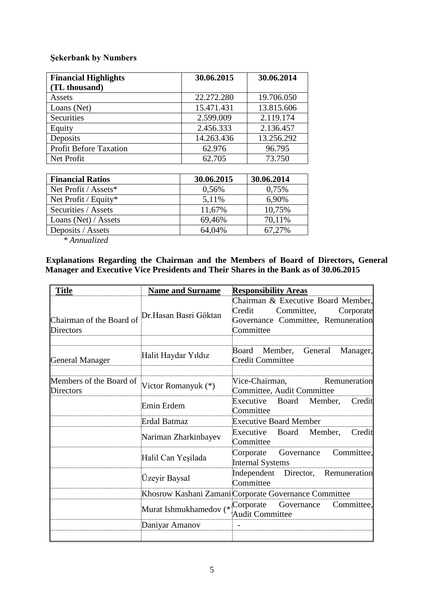# **Şekerbank by Numbers**

| <b>Financial Highlights</b>   | 30.06.2015 | 30.06.2014 |
|-------------------------------|------------|------------|
| (TL thousand)                 |            |            |
| Assets                        | 22.272.280 | 19.706.050 |
| Loans (Net)                   | 15.471.431 | 13.815.606 |
| Securities                    | 2.599.009  | 2.119.174  |
| Equity                        | 2.456.333  | 2.136.457  |
| Deposits                      | 14.263.436 | 13.256.292 |
| <b>Profit Before Taxation</b> | 62.976     | 96.795     |
| Net Profit                    | 62.705     | 73.750     |

| <b>Financial Ratios</b> | 30.06.2015 | 30.06.2014 |
|-------------------------|------------|------------|
| Net Profit / Assets*    | 0,56%      | 0,75%      |
| Net Profit / Equity*    | 5,11%      | 6,90%      |
| Securities / Assets     | 11,67%     | 10,75%     |
| Loans (Net) / Assets    | 69,46%     | 70,11%     |
| Deposits / Assets       | 64,04%     | 67,27%     |

*\* Annualized*

# **Explanations Regarding the Chairman and the Members of Board of Directors, General Manager and Executive Vice Presidents and Their Shares in the Bank as of 30.06.2015**

| <b>Title</b>                                                       | <b>Name and Surname</b>          | <b>Responsibility Areas</b>                                                                                                |
|--------------------------------------------------------------------|----------------------------------|----------------------------------------------------------------------------------------------------------------------------|
| Chairman of the Board of Dr.Hasan Basri Göktan<br><b>Directors</b> |                                  | Chairman & Executive Board Member,<br>Credit<br>Committee,<br>Corporate<br>Governance Committee, Remuneration<br>Committee |
| <b>General Manager</b>                                             | Halit Haydar Yıldız              | Board Member,<br>General<br>Manager,<br><b>Credit Committee</b>                                                            |
| Members of the Board of<br>Directors                               | Victor Romanyuk (*)              | Vice-Chairman,<br>Remuneration<br>Committee, Audit Committee                                                               |
|                                                                    | Emin Erdem                       | Executive<br>Board<br>Member,<br>Credit<br>Committee                                                                       |
|                                                                    | <b>Erdal Batmaz</b>              | <b>Executive Board Member</b>                                                                                              |
|                                                                    | Nariman Zharkinbayev             | Executive Board Member,<br>Credit<br>Committee                                                                             |
|                                                                    | Halil Can Yeşilada               | Committee,<br>Governance<br>Corporate<br><b>Internal Systems</b>                                                           |
|                                                                    | Üzeyir Baysal                    | Independent Director, Remuneration<br>Committee                                                                            |
|                                                                    |                                  | Khosrow Kashani Zamani Corporate Governance Committee                                                                      |
|                                                                    | Murat Ishmukhamedov (* Corporate | Governance<br>Committee,<br><b>Audit Committee</b>                                                                         |
|                                                                    | Daniyar Amanov                   | $\overline{a}$                                                                                                             |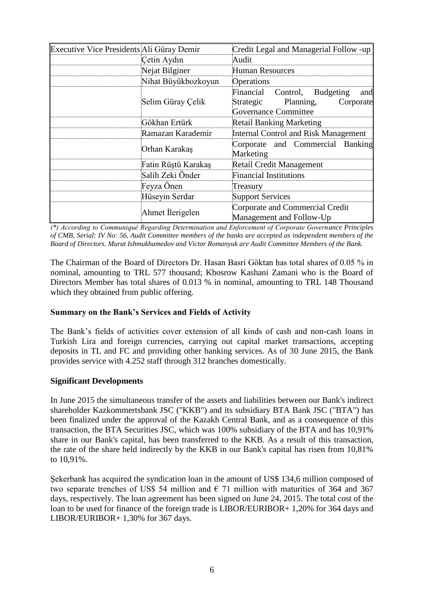| Executive Vice Presidents Ali Güray Demir |                     | Credit Legal and Managerial Follow -up                                                                       |
|-------------------------------------------|---------------------|--------------------------------------------------------------------------------------------------------------|
|                                           | Cetin Aydın         | Audit                                                                                                        |
|                                           | Nejat Bilginer      | <b>Human Resources</b>                                                                                       |
|                                           | Nihat Büyükbozkoyun | Operations                                                                                                   |
|                                           | Selim Güray Çelik   | Financial<br>Control, Budgeting<br>and<br>Strategic<br>Planning,<br>Corporate<br><b>Governance Committee</b> |
|                                           | Gökhan Ertürk       | <b>Retail Banking Marketing</b>                                                                              |
|                                           | Ramazan Karademir   | <b>Internal Control and Risk Management</b>                                                                  |
|                                           | Orhan Karakaş       | Corporate and Commercial Banking<br>Marketing                                                                |
|                                           | Fatin Rüştü Karakaş | Retail Credit Management                                                                                     |
|                                           | Salih Zeki Önder    | <b>Financial Institutions</b>                                                                                |
|                                           | Feyza Önen          | Treasury                                                                                                     |
|                                           | Hüseyin Serdar      | <b>Support Services</b>                                                                                      |
|                                           | Ahmet İlerigelen    | Corporate and Commercial Credit<br>Management and Follow-Up                                                  |

*(\*) According to Communiqué Regarding Determination and Enforcement of Corporate Governance Principles of CMB, Serial: IV No: 56, Audit Committee members of the banks are accepted as independent members of the Board of Directors. Murat Ishmukhamedov and Victor Romanyuk are Audit Committee Members of the Bank.*

The Chairman of the Board of Directors Dr. Hasan Basri Göktan has total shares of 0.05 % in nominal, amounting to TRL 577 thousand; Khosrow Kashani Zamani who is the Board of Directors Member has total shares of 0.013 % in nominal, amounting to TRL 148 Thousand which they obtained from public offering.

# **Summary on the Bank's Services and Fields of Activity**

The Bank's fields of activities cover extension of all kinds of cash and non-cash loans in Turkish Lira and foreign currencies, carrying out capital market transactions, accepting deposits in TL and FC and providing other banking services. As of 30 June 2015, the Bank provides service with 4.252 staff through 312 branches domestically.

## **Significant Developments**

In June 2015 the simultaneous transfer of the assets and liabilities between our Bank's indirect shareholder Kazkommertsbank JSC ("KKB") and its subsidiary BTA Bank JSC ("BTA") has been finalized under the approval of the Kazakh Central Bank, and as a consequence of this transaction, the BTA Securities JSC, which was 100% subsidiary of the BTA and has 10,91% share in our Bank's capital, has been transferred to the KKB. As a result of this transaction, the rate of the share held indirectly by the KKB in our Bank's capital has risen from 10,81% to 10,91%.

Şekerbank has acquired the syndication loan in the amount of US\$ 134,6 million composed of two separate trenches of US\$ 54 million and  $\epsilon$  71 million with maturities of 364 and 367 days, respectively. The loan agreement has been signed on June 24, 2015. The total cost of the loan to be used for finance of the foreign trade is LIBOR/EURIBOR+ 1,20% for 364 days and LIBOR/EURIBOR+ 1,30% for 367 days.